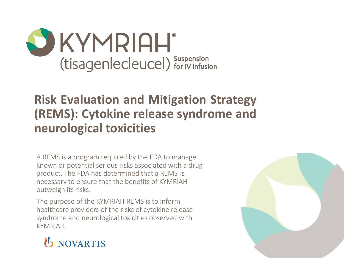

### **Risk Evaluation and Mitigation Strategy (REMS): Cytokine release syndrome and neurological toxicities**

A REMS is a program required by the FDA to manage known or potential serious risks associated with a drug product. The FDA has determined that a REMS is necessary to ensure that the benefits of KYMRIAH outweigh its risks.

The purpose of the KYMRIAH REMS is to inform healthcare providers of the risks of cytokine release syndrome and neurological toxicities observed with KYMRIAH.



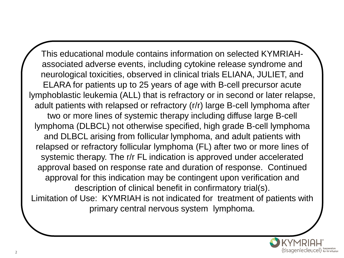This educational module contains information on selected KYMRIAHassociated adverse events, including cytokine release syndrome and neurological toxicities, observed in clinical trials ELIANA, JULIET, and ELARA for patients up to 25 years of age with B-cell precursor acute lymphoblastic leukemia (ALL) that is refractory or in second or later relapse, adult patients with relapsed or refractory (r/r) large B-cell lymphoma after two or more lines of systemic therapy including diffuse large B-cell lymphoma (DLBCL) not otherwise specified, high grade B-cell lymphoma and DLBCL arising from follicular lymphoma, and adult patients with relapsed or refractory follicular lymphoma (FL) after two or more lines of systemic therapy. The r/r FL indication is approved under accelerated approval based on response rate and duration of response. Continued approval for this indication may be contingent upon verification and description of clinical benefit in confirmatory trial(s). Limitation of Use: KYMRIAH is not indicated for treatment of patients with primary central nervous system lymphoma.

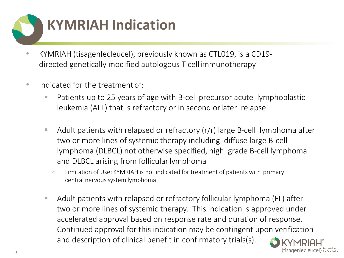

- KYMRIAH (tisagenlecleucel), previously known as CTL019, is a CD19 directed genetically modified autologous T cellimmunotherapy
- Indicated for the treatment of:
	- Patients up to 25 years of age with B-cell precursor acute lymphoblastic leukemia (ALL) that is refractory or in second orlater relapse
	- $\blacksquare$  Adult patients with relapsed or refractory (r/r) large B-cell lymphoma after two or more lines of systemic therapy including diffuse large B-cell lymphoma (DLBCL) not otherwise specified, high grade B-cell lymphoma and DLBCL arising from follicular lymphoma
		- o Limitation of Use: KYMRIAH is not indicated for treatment of patients with primary central nervous system lymphoma.
	- Adult patients with relapsed or refractory follicular lymphoma (FL) after two or more lines of systemic therapy. This indication is approved under accelerated approval based on response rate and duration of response. Continued approval for this indication may be contingent upon verification and description of clinical benefit in confirmatory trials(s).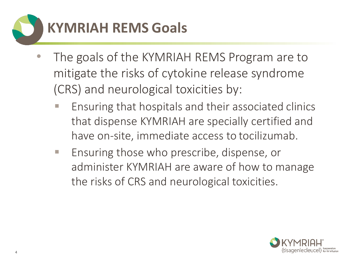

- The goals of the KYMRIAH REMS Program are to mitigate the risks of cytokine release syndrome (CRS) and neurological toxicities by:
	- Ensuring that hospitals and their associated clinics that dispense KYMRIAH are specially certified and have on-site, immediate access to tocilizumab.
	- Ensuring those who prescribe, dispense, or administer KYMRIAH are aware of how to manage the risks of CRS and neurological toxicities.

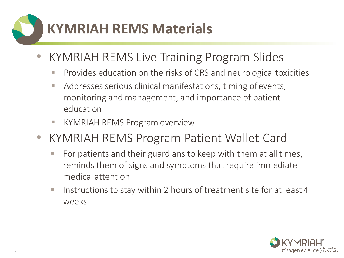## **KYMRIAH REMS Materials**

- KYMRIAH REMS Live Training Program Slides
	- **Provides education on the risks of CRS and neurological toxicities**
	- Addresses serious clinical manifestations, timing of events, monitoring and management, and importance of patient education
	- KYMRIAH REMS Program overview
- KYMRIAH REMS Program Patient Wallet Card
	- For patients and their guardians to keep with them at all times, reminds them of signs and symptoms that require immediate medical attention
	- Instructions to stay within 2 hours of treatment site for at least 4 weeks

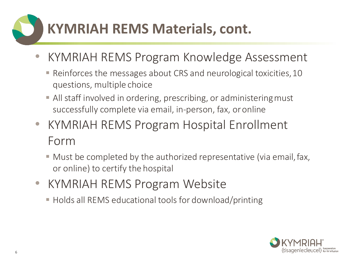### **KYMRIAH REMS Materials, cont.**

- KYMRIAH REMS Program Knowledge Assessment
	- Reinforces the messages about CRS and neurological toxicities, 10 questions, multiple choice
	- All staff involved in ordering, prescribing, or administering must successfully complete via email, in-person, fax, oronline
- KYMRIAH REMS Program Hospital Enrollment Form
	- Must be completed by the authorized representative (via email, fax, or online) to certify the hospital
- KYMRIAH REMS Program Website
	- **EXTERGE Holds all REMS educational tools for download/printing**

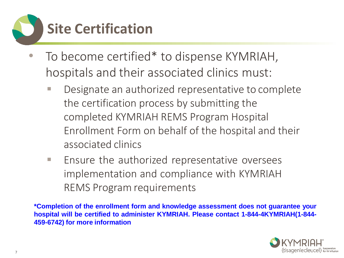

- To become certified\* to dispense KYMRIAH, hospitals and their associated clinics must:
	- Designate an authorized representative to complete the certification process by submitting the completed KYMRIAH REMS Program Hospital Enrollment Form on behalf of the hospital and their associated clinics
	- Ensure the authorized representative oversees implementation and compliance with KYMRIAH REMS Program requirements

**\*Completion of the enrollment form and knowledge assessment does not guarantee your hospital will be certified to administer KYMRIAH. Please contact 1-844-4KYMRIAH(1-844- 459-6742) for more information**

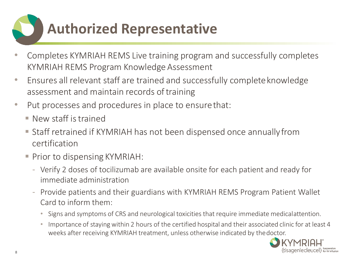### **Authorized Representative**

- Completes KYMRIAH REMS Live training program and successfully completes KYMRIAH REMS Program Knowledge Assessment
- Ensures all relevant staff are trained and successfully completeknowledge assessment and maintain records oftraining
- Put processes and procedures in place to ensure that:
	- $\blacksquare$  New staff is trained
	- Staff retrained if KYMRIAH has not been dispensed once annually from certification
	- Prior to dispensing KYMRIAH:
		- Verify 2 doses of tocilizumab are available onsite for each patient and ready for immediate administration
		- Provide patients and their guardians with KYMRIAH REMS Program Patient Wallet Card to inform them:
			- Signs and symptoms of CRS and neurological toxicities that require immediate medicalattention.
			- Importance of staying within 2 hours of the certified hospital and their associated clinic for at least 4 weeks after receiving KYMRIAH treatment, unless otherwise indicated by thedoctor.

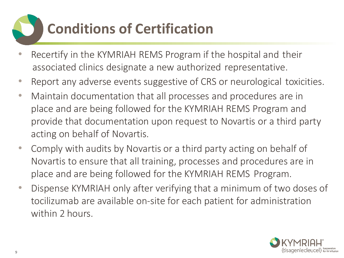## **Conditions of Certification**

- Recertify in the KYMRIAH REMS Program if the hospital and their associated clinics designate a new authorized representative.
- Report any adverse events suggestive of CRS or neurological toxicities.
- Maintain documentation that all processes and procedures are in place and are being followed for the KYMRIAH REMS Program and provide that documentation upon request to Novartis or a third party acting on behalf of Novartis.
- Comply with audits by Novartis or a third party acting on behalf of Novartis to ensure that all training, processes and procedures are in place and are being followed for the KYMRIAH REMS Program.
- Dispense KYMRIAH only after verifying that a minimum of two doses of tocilizumab are available on-site for each patient for administration within 2 hours.

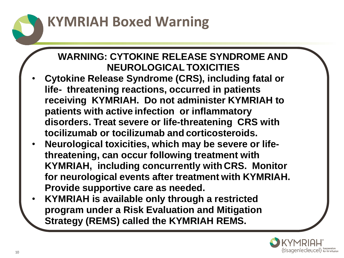### **KYMRIAH Boxed Warning**

#### **WARNING: CYTOKINE RELEASE SYNDROME AND NEUROLOGICAL TOXICITIES**

- **Cytokine Release Syndrome (CRS), including fatal or life- threatening reactions, occurred in patients receiving KYMRIAH. Do not administer KYMRIAH to patients with active infection or inflammatory disorders. Treat severe or life-threatening CRS with tocilizumab or tocilizumab and corticosteroids.**
- **Neurological toxicities, which may be severe or lifethreatening, can occur following treatment with KYMRIAH, including concurrently with CRS. Monitor for neurological events after treatment with KYMRIAH. Provide supportive care as needed.**
- **KYMRIAH is available only through a restricted program under a Risk Evaluation and Mitigation Strategy (REMS) called the KYMRIAH REMS.**

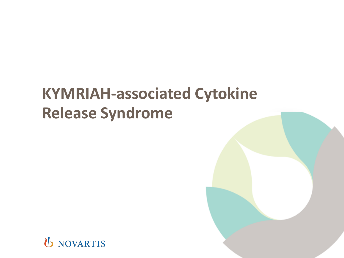### **KYMRIAH-associated Cytokine Release Syndrome**

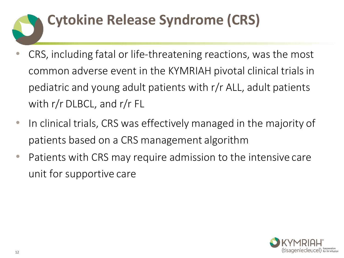## **Cytokine Release Syndrome (CRS)**

- CRS, including fatal or life-threatening reactions, was the most common adverse event in the KYMRIAH pivotal clinical trials in pediatric and young adult patients with r/r ALL, adult patients with r/r DLBCL, and r/r FL
- In clinical trials, CRS was effectively managed in the majority of patients based on a CRS management algorithm
- Patients with CRS may require admission to the intensive care unit for supportive care

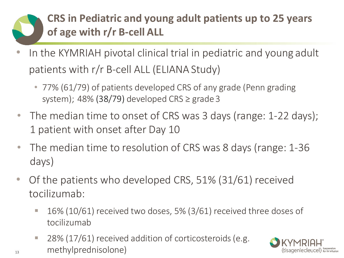### **CRS in Pediatric and young adult patients up to 25 years of age with r/r B-cell ALL**

- In the KYMRIAH pivotal clinical trial in pediatric and young adult patients with r/r B-cell ALL (ELIANA Study)
	- 77% (61/79) of patients developed CRS of any grade (Penn grading system); 48% (38/79) developed CRS  $\geq$  grade 3
- The median time to onset of CRS was 3 days (range: 1-22 days); 1 patient with onset after Day 10
- The median time to resolution of CRS was 8 days (range: 1-36 days)
- Of the patients who developed CRS, 51% (31/61) received tocilizumab:
	- $\blacksquare$  16% (10/61) received two doses, 5% (3/61) received three doses of tocilizumab
	- 28% (17/61) received addition of corticosteroids (e.g. methylprednisolone)

13

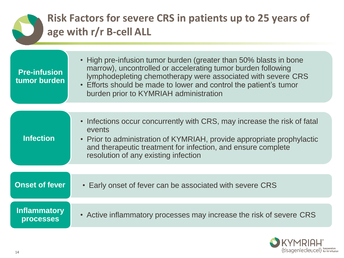#### **Risk Factors for severe CRS in patients up to 25 years of age with r/r B-cell ALL**

| <b>Pre-infusion</b><br>tumor burden                                                                                                                                                                                                                                                      | • High pre-infusion tumor burden (greater than 50% blasts in bone<br>marrow), uncontrolled or accelerating tumor burden following<br>lymphodepleting chemotherapy were associated with severe CRS<br>• Efforts should be made to lower and control the patient's tumor<br>burden prior to KYMRIAH administration |
|------------------------------------------------------------------------------------------------------------------------------------------------------------------------------------------------------------------------------------------------------------------------------------------|------------------------------------------------------------------------------------------------------------------------------------------------------------------------------------------------------------------------------------------------------------------------------------------------------------------|
|                                                                                                                                                                                                                                                                                          |                                                                                                                                                                                                                                                                                                                  |
| • Infections occur concurrently with CRS, may increase the risk of fatal<br>events<br><b>Infection</b><br>• Prior to administration of KYMRIAH, provide appropriate prophylactic<br>and therapeutic treatment for infection, and ensure complete<br>resolution of any existing infection |                                                                                                                                                                                                                                                                                                                  |
|                                                                                                                                                                                                                                                                                          |                                                                                                                                                                                                                                                                                                                  |
| <b>Onset of fever</b>                                                                                                                                                                                                                                                                    | • Early onset of fever can be associated with severe CRS                                                                                                                                                                                                                                                         |
|                                                                                                                                                                                                                                                                                          |                                                                                                                                                                                                                                                                                                                  |
| <b>Inflammatory</b><br><b>processes</b>                                                                                                                                                                                                                                                  | • Active inflammatory processes may increase the risk of severe CRS                                                                                                                                                                                                                                              |

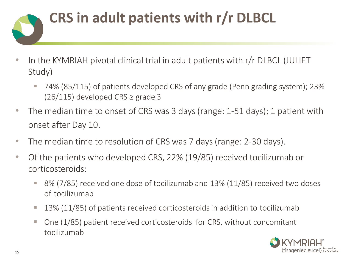

- In the KYMRIAH pivotal clinical trial in adult patients with r/r DLBCL (JULIET Study)
	- 74% (85/115) of patients developed CRS of any grade (Penn grading system); 23%  $(26/115)$  developed CRS  $\geq$  grade 3
- The median time to onset of CRS was 3 days (range: 1-51 days); 1 patient with onset after Day 10.
- The median time to resolution of CRS was 7 days (range: 2-30 days).
- Of the patients who developed CRS, 22% (19/85) received tocilizumab or corticosteroids:
	- 8% (7/85) received one dose of tocilizumab and 13% (11/85) received two doses of tocilizumab
	- 13% (11/85) of patients received corticosteroids in addition to tocilizumab
	- One (1/85) patient received corticosteroids for CRS, without concomitant tocilizumab

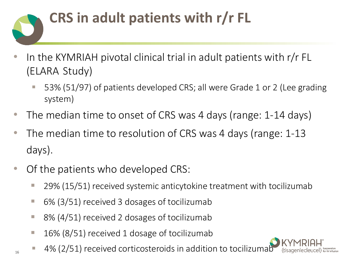# **CRS in adult patients with r/r FL**

- In the KYMRIAH pivotal clinical trial in adult patients with r/r FL (ELARA Study)
	- 53% (51/97) of patients developed CRS; all were Grade 1 or 2 (Lee grading system)
- The median time to onset of CRS was 4 days (range: 1-14 days)
- The median time to resolution of CRS was 4 days (range: 1-13 days).
- Of the patients who developed CRS:
	- 29% (15/51) received systemic anticytokine treatment with tocilizumab
	- 6% (3/51) received 3 dosages of tocilizumab
	- 8% (4/51) received 2 dosages of tocilizumab
	- 16% (8/51) received 1 dosage of tocilizumab
	- 4% (2/51) received corticosteroids in addition to tocilizumab

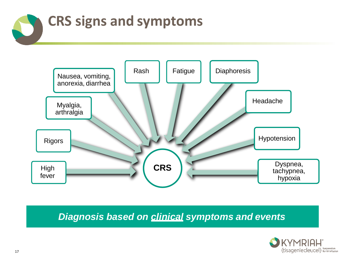



*Diagnosis based on clinical symptoms and events*

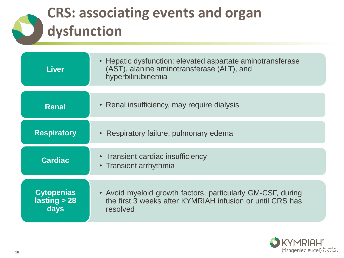### **CRS: associating events and organ dysfunction**

| <b>Liver</b>                      | • Hepatic dysfunction: elevated aspartate aminotransferase<br>(AST), alanine aminotransferase (ALT), and<br>hyperbilirubinemia |  |
|-----------------------------------|--------------------------------------------------------------------------------------------------------------------------------|--|
|                                   |                                                                                                                                |  |
| <b>Renal</b>                      | • Renal insufficiency, may require dialysis                                                                                    |  |
| <b>Respiratory</b>                |                                                                                                                                |  |
|                                   | • Respiratory failure, pulmonary edema                                                                                         |  |
| <b>Cardiac</b>                    | • Transient cardiac insufficiency                                                                                              |  |
|                                   | • Transient arrhythmia                                                                                                         |  |
|                                   |                                                                                                                                |  |
| <b>Cytopenias</b><br>lasting > 28 | • Avoid myeloid growth factors, particularly GM-CSF, during<br>the first 3 weeks after KYMRIAH infusion or until CRS has       |  |
| days                              | resolved                                                                                                                       |  |

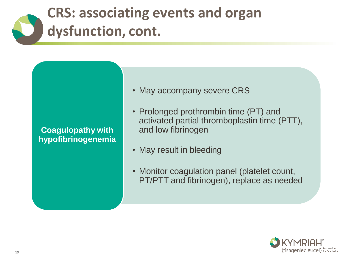### **CRS: associating events and organ dysfunction, cont.**

#### **Coagulopathy with hypofibrinogenemia**

- May accompany severe CRS
- Prolonged prothrombin time (PT) and activated partial thromboplastin time (PTT), and low fibrinogen
- May result in bleeding
- Monitor coagulation panel (platelet count, PT/PTT and fibrinogen), replace as needed

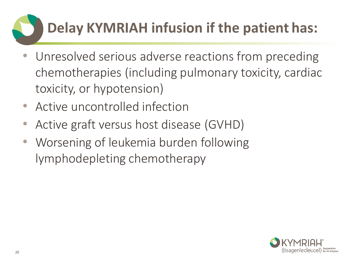## **Delay KYMRIAH infusion if the patient has:**

- Unresolved serious adverse reactions from preceding chemotherapies (including pulmonary toxicity, cardiac toxicity, or hypotension)
- Active uncontrolled infection
- Active graft versus host disease (GVHD)
- Worsening of leukemia burden following lymphodepleting chemotherapy

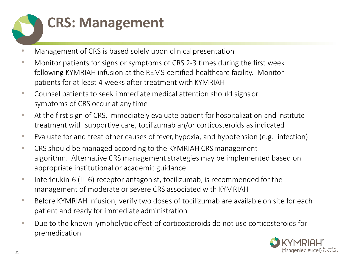

- Management of CRS is based solely upon clinical presentation
- Monitor patients for signs or symptoms of CRS 2-3 times during the first week following KYMRIAH infusion at the REMS-certified healthcare facility. Monitor patients for at least 4 weeks after treatment with KYMRIAH
- Counsel patients to seek immediate medical attention should signs or symptoms of CRS occur at any time
- At the first sign of CRS, immediately evaluate patient for hospitalization and institute treatment with supportive care, tocilizumab an/or corticosteroids as indicated
- Evaluate for and treat other causes of fever, hypoxia, and hypotension (e.g. infection)
- CRS should be managed according to the KYMRIAH CRS management algorithm. Alternative CRS management strategies may be implemented based on appropriate institutional or academic guidance
- Interleukin-6 (IL-6) receptor antagonist, tocilizumab, is recommended for the management of moderate or severe CRS associated with KYMRIAH
- Before KYMRIAH infusion, verify two doses of tocilizumab are available on site for each patient and ready for immediate administration
- Due to the known lympholytic effect of corticosteroids do not use corticosteroids for premedication

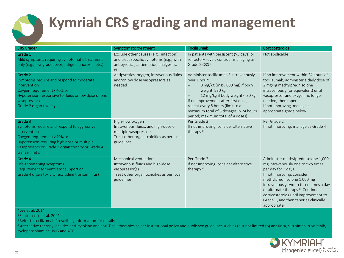

### **Kymriah CRS grading and management**

| CRS Grade <sup>a</sup>                                                                                                                                                                                                          | Symptomatic treatment                                                                                                                        | Tocilizumab                                                                                                                                                                                                                                                                                                            | Corticosteroids                                                                                                                                                                                                                                                                                                                            |
|---------------------------------------------------------------------------------------------------------------------------------------------------------------------------------------------------------------------------------|----------------------------------------------------------------------------------------------------------------------------------------------|------------------------------------------------------------------------------------------------------------------------------------------------------------------------------------------------------------------------------------------------------------------------------------------------------------------------|--------------------------------------------------------------------------------------------------------------------------------------------------------------------------------------------------------------------------------------------------------------------------------------------------------------------------------------------|
| Grade 1<br>Mild symptoms requiring symptomatic treatment<br>only (e.g., low grade fever, fatigue, anorexia, etc.)                                                                                                               | Exclude other causes (e.g., infection)<br>and treat specific symptoms (e.g., with<br>antipyretics, antiemetics, analgesics,<br>etc.          | In patients with persistent (>3 days) or<br>refractory fever, consider managing as<br>Grade 2 CRS b                                                                                                                                                                                                                    | Not applicable                                                                                                                                                                                                                                                                                                                             |
| Grade 2<br>Symptoms require and respond to moderate<br>intervention<br>Oxygen requirement <40% or<br>Hypotension responsive to fluids or low dose of one<br>vasopressor or<br>Grade 2 organ toxicity                            | Antipyretics, oxygen, intravenous fluids<br>and/or low dose vasopressors as<br>needed                                                        | Administer tocilizumab <sup>c</sup> intravenously<br>over 1 hour:<br>8 mg/kg (max. 800 mg) if body<br>weight $\geq$ 30 kg<br>12 mg/kg if body weight < 30 kg<br>If no improvement after first dose,<br>repeat every 8 hours (limit to a<br>maximum total of 3 dosages in 24 hours<br>period; maximum total of 4 doses) | If no improvement within 24 hours of<br>tocilizumab, administer a daily dose of<br>2 mg/kg methylprednisolone<br>intravenously (or equivalent) until<br>vasopressor and oxygen no longer<br>needed, then taper<br>If not improving, manage as<br>appropriate grade below                                                                   |
| Grade 3<br>Symptoms require and respond to aggressive<br>intervention<br>Oxygen requirement ≥40% or<br>Hypotension requiring high dose or multiple<br>vasopressors or Grade 3 organ toxicity or Grade 4<br><b>transaminitis</b> | High-flow oxygen<br>Intravenous fluids, and high-dose or<br>multiple vasopressors<br>Treat other organ toxicities as per local<br>guidelines | Per Grade 2<br>If not improving, consider alternative<br>therapy <sup>d</sup>                                                                                                                                                                                                                                          | Per Grade 2<br>If not improving, manage as Grade 4                                                                                                                                                                                                                                                                                         |
| Grade 4<br>Life-threatening symptoms<br>Requirement for ventilator support or<br>Grade 4 organ toxicity (excluding transaminitis)                                                                                               | Mechanical ventilation<br>Intravenous fluids and high-dose<br>vasopressor(s)<br>Treat other organ toxicities as per local<br>guidelines      | Per Grade 2<br>If not improving, consider alternative<br>therapy <sup>d</sup>                                                                                                                                                                                                                                          | Administer methylprednisolone 1,000<br>mg intravenously one to two times<br>per day for 3 days.<br>If not improving, consider<br>methylprednisolone 1,000 mg<br>intravenously two to three times a day<br>or alternate therapy d. Continue<br>corticosteroids until improvement to<br>Grade 1, and then taper as clinically<br>appropriate |

Lee at al. 2014

b Santomasso et al. 2021

<sup>c</sup> Refer to tocilizumab Prescribing Information for details.

<sup>d</sup> Alternative therapy includes anti-cytokine and anti-T cell therapies as per institutional policy and published guidelines such as (but not limited to) anakinra, siltuximab, ruxolitinib, cyclophosphamide, IVIG and ATG.

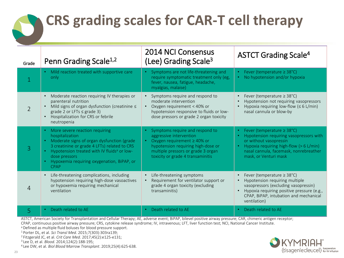### **CRS grading scales for CAR-T cell therapy**

| Grade          | Penn Grading Scale <sup>1,2</sup>                                                                                                                                                                                                                                                 | <b>2014 NCI Consensus</b><br>(Lee) Grading Scale <sup>3</sup>                                                                                                                                                   | <b>ASTCT Grading Scale<sup>4</sup></b>                                                                                                                                                                             |
|----------------|-----------------------------------------------------------------------------------------------------------------------------------------------------------------------------------------------------------------------------------------------------------------------------------|-----------------------------------------------------------------------------------------------------------------------------------------------------------------------------------------------------------------|--------------------------------------------------------------------------------------------------------------------------------------------------------------------------------------------------------------------|
|                | • Mild reaction treated with supportive care<br>only                                                                                                                                                                                                                              | Symptoms are not life-threatening and<br>require symptomatic treatment only (eg,<br>fever, nausea, fatigue, headache,<br>myalgias, malaise)                                                                     | Fever (temperature $\geq$ 38°C)<br>$\bullet$<br>No hypotension and/or hypoxia                                                                                                                                      |
| $\mathcal{P}$  | Moderate reaction requiring IV therapies or<br>parenteral nutrition<br>Mild signs of organ dysfunction (creatinine $\leq$<br>grade 2 or LFTs $\leq$ grade 3)<br>Hospitalization for CRS or febrile<br>neutropenia                                                                 | • Symptoms require and respond to<br>moderate intervention<br>Oxygen requirement < 40% or<br>hypotension responsive to fluids or low-<br>dose pressors or grade 2 organ toxicity                                | Fever (temperature $\geq$ 38°C)<br>Hypotension not requiring vasopressors<br>Hypoxia requiring low-flow ( $\leq 6$ L/min)<br>nasal cannula or blow-by                                                              |
|                | More severe reaction requiring<br>hospitalization<br>Moderate signs of organ dysfunction (grade<br>3 creatinine or grade 4 LFTs) related to CRS<br>Hypotension treated with IV fluids <sup>a</sup> or low-<br>dose pressors<br>Hypoxemia requiring oxygenation, BiPAP, or<br>CPAP | Symptoms require and respond to<br>aggressive intervention<br>Oxygen requirement $\geq$ 40% or<br>hypotension requiring high-dose or<br>multiple pressors or grade 3 organ<br>toxicity or grade 4 transaminitis | Fever (temperature $\geq$ 38°C)<br>Hypotension requiring vasopressors with<br>or without vasopressin<br>Hypoxia requiring high-flow (> 6 L/min)<br>nasal cannula, facemask, nonrebreather<br>mask, or Venturi mask |
| $\overline{4}$ | Life-threatening complications, including<br>hypotension requiring high-dose vasoactives<br>or hypoxemia requiring mechanical<br>ventilation                                                                                                                                      | Life-threatening symptoms<br>Requirement for ventilator support or<br>grade 4 organ toxicity (excluding<br>transaminitis)                                                                                       | Fever (temperature $\geq$ 38°C)<br>Hypotension requiring multiple<br>vasopressors (excluding vasopressin)<br>Hypoxia requiring positive pressure (e.g.,<br>CPAP, BiPAP, intubation and mechanical<br>ventilation)  |
| 5              | Death related to AE                                                                                                                                                                                                                                                               | Death related to AE                                                                                                                                                                                             | Death related to AE                                                                                                                                                                                                |

ASTCT, American Society for Transplantation and Cellular Therapy; AE, adverse event; BiPAP, bilevel positive airway pressure; CAR, chimeric antigen receptor;

CPAP, continuous positive airway pressure; CRS, cytokine release syndrome; IV, intravenous; LFT, liver function test; NCI, National Cancer Institute.

a Defined as multiple fluid boluses for blood pressure support.

<sup>1</sup>Porter DL, et al. *Sci Transl Med*. 2015;7(303):303ra139;

<sup>2</sup>Fitzgerald JC, et al. *Crit Care Med*. 2017;45(2):e125-e131;

<sup>3</sup>Lee D, et al. *Blood.* 2014;124(2):188-195;

4 Lee DW, et al. *Biol Blood Marrow Transplant*. 2019;25(4):625-638.

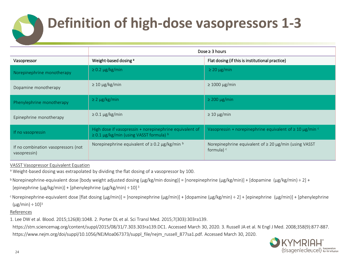### **Definition of high-dose vasopressors 1-3**

|                                                     | Dose $\geq$ 3 hours                                                                                     |                                                                                        |  |
|-----------------------------------------------------|---------------------------------------------------------------------------------------------------------|----------------------------------------------------------------------------------------|--|
| Vasopressor                                         | Weight-based dosing a                                                                                   | Flat dosing (if this is institutional practice)                                        |  |
| Norepinephrine monotherapy                          | $\geq$ 0.2 µg/kg/min                                                                                    | $\geq$ 20 µg/min                                                                       |  |
| Dopamine monotherapy                                | $\geq 10 \mu g/kg/min$                                                                                  | $\geq 1000 \mu g/min$                                                                  |  |
| Phenylephrine monotherapy                           | $\geq$ 2 µg/kg/min                                                                                      | $\geq$ 200 µg/min                                                                      |  |
| Epinephrine monotherapy                             | $\geq$ 0.1 µg/kg/min                                                                                    | $\geq 10 \mu$ g/min                                                                    |  |
| If no vasopressin                                   | High dose if vasopressin + norepinephrine equivalent of<br>$\geq$ 0.1 µg/kg/min (using VASST formula) b | Vasopressin + norepinephrine equivalent of $\geq 10 \mu$ g/min <sup>c</sup>            |  |
| If no combination vasopressors (not<br>vasopressin) | Norepinephrine equivalent of $\geq$ 0.2 µg/kg/min $\frac{b}{2}$                                         | Norepinephrine equivalent of $\geq 20 \mu g/min$ (using VASST<br>formula) <sup>c</sup> |  |

VASST Vasopressor Equivalent Equation

a Weight-based dosing was extrapolated by dividing the flat dosing of a vasopressor by 100.

 $\frac{1}{2}$ Norepinephrine-equivalent dose [body weight adjusted dosing (µg/kg/min dosing)] = [norepinephrine (µg/kg/min)] + [dopamine (µg/kg/min) ÷ 2] +

[epinephrine ( $\mu$ g/kg/min)] + [phenylephrine ( $\mu$ g/kg/min) ÷ 10]<sup>3</sup>

 $\epsilon$ Norepinephrine-equivalent dose [flat dosing ( $\mu$ g/min)] = [norepinephrine ( $\mu$ g/min)] + [dopamine ( $\mu$ g/kg/min) ÷ 2] + [epinephrine ( $\mu$ g/min)] + [phenylephrine  $(\mu$ g/min) ÷ 10]<sup>3</sup>

#### References

1. Lee DW et al. Blood. 2015;126(8):1048. 2. Porter DL et al. Sci Transl Med. 2015;7(303):303ra139.

https://stm.sciencemag.org/content/suppl/2015/08/31/7.303.303ra139.DC1. Accessed March 30, 2020. 3. Russell JA et al. N Engl J Med. 2008;358(9):877-887. https://www.nejm.org/doi/suppl/10.1056/NEJMoa067373/suppl\_file/nejm\_russell\_877sa1.pdf. Accessed March 30, 2020.

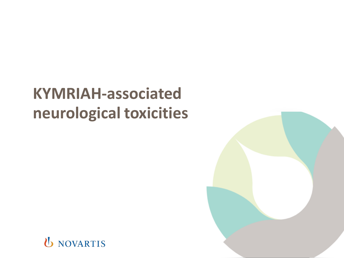### **KYMRIAH-associated neurological toxicities**

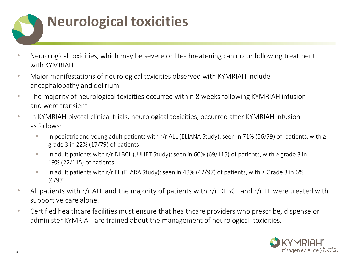

- Neurological toxicities, which may be severe or life-threatening can occur following treatment with KYMRIAH
- Major manifestations of neurological toxicities observed with KYMRIAH include encephalopathy and delirium
- The majority of neurological toxicities occurred within 8 weeks following KYMRIAH infusion and were transient
- In KYMRIAH pivotal clinical trials, neurological toxicities, occurred after KYMRIAH infusion asfollows:
	- In pediatric and young adult patients with r/r ALL (ELIANA Study): seen in 71% (56/79) of patients, with ≥ grade 3 in 22% (17/79) of patients
	- In adult patients with r/r DLBCL (JULIET Study): seen in 60% (69/115) of patients, with ≥ grade 3 in 19% (22/115) of patients
	- In adult patients with r/r FL (ELARA Study): seen in 43% (42/97) of patients, with ≥ Grade 3 in 6% (6/97)
- All patients with r/r ALL and the majority of patients with r/r DLBCL and r/r FL were treated with supportive care alone.
- Certified healthcare facilities must ensure that healthcare providers who prescribe, dispense or administer KYMRIAH are trained about the management of neurological toxicities.

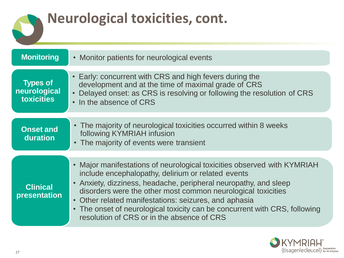### **Neurological toxicities, cont.**

| <b>Monitoring</b>                                    | • Monitor patients for neurological events                                                                                                                                                                                                                                                                                                                                                                                                             |  |  |
|------------------------------------------------------|--------------------------------------------------------------------------------------------------------------------------------------------------------------------------------------------------------------------------------------------------------------------------------------------------------------------------------------------------------------------------------------------------------------------------------------------------------|--|--|
| <b>Types of</b><br>neurological<br><b>toxicities</b> | • Early: concurrent with CRS and high fevers during the<br>development and at the time of maximal grade of CRS<br>Delayed onset: as CRS is resolving or following the resolution of CRS<br>• In the absence of CRS                                                                                                                                                                                                                                     |  |  |
| <b>Onset and</b><br>duration                         | • The majority of neurological toxicities occurred within 8 weeks<br>following KYMRIAH infusion<br>• The majority of events were transient                                                                                                                                                                                                                                                                                                             |  |  |
| <b>Clinical</b><br>presentation                      | • Major manifestations of neurological toxicities observed with KYMRIAH<br>include encephalopathy, delirium or related events<br>• Anxiety, dizziness, headache, peripheral neuropathy, and sleep<br>disorders were the other most common neurological toxicities<br>• Other related manifestations: seizures, and aphasia<br>• The onset of neurological toxicity can be concurrent with CRS, following<br>resolution of CRS or in the absence of CRS |  |  |

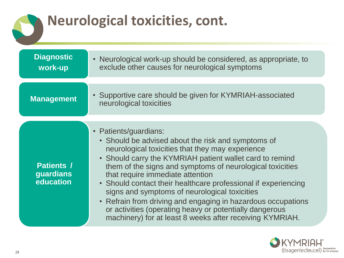### **Neurological toxicities, cont.**

| <b>Diagnostic</b><br>work-up                | • Neurological work-up should be considered, as appropriate, to<br>exclude other causes for neurological symptoms                                                                                                                                                                                                                                                                                                                                                                                                                                                                                                 |  |  |
|---------------------------------------------|-------------------------------------------------------------------------------------------------------------------------------------------------------------------------------------------------------------------------------------------------------------------------------------------------------------------------------------------------------------------------------------------------------------------------------------------------------------------------------------------------------------------------------------------------------------------------------------------------------------------|--|--|
| <b>Management</b>                           | • Supportive care should be given for KYMRIAH-associated<br>neurological toxicities                                                                                                                                                                                                                                                                                                                                                                                                                                                                                                                               |  |  |
| <b>Patients /</b><br>guardians<br>education | • Patients/guardians:<br>• Should be advised about the risk and symptoms of<br>neurological toxicities that they may experience<br>• Should carry the KYMRIAH patient wallet card to remind<br>them of the signs and symptoms of neurological toxicities<br>that require immediate attention<br>• Should contact their healthcare professional if experiencing<br>signs and symptoms of neurological toxicities<br>Refrain from driving and engaging in hazardous occupations<br>$\bullet$<br>or activities (operating heavy or potentially dangerous<br>machinery) for at least 8 weeks after receiving KYMRIAH. |  |  |

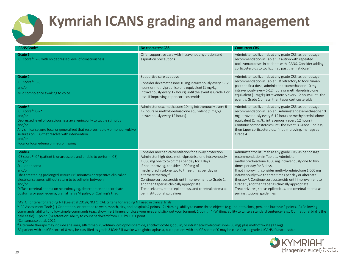

### **Kymriah ICANS grading and management**

| ICANS Grade <sup>a</sup>                                                                                                                                                                                                                                                                                                                                                                                              | No concurrent CRS                                                                                                                                                                                                                                                                                                                                                                                                                                                                                 | <b>Concurrent CRS</b>                                                                                                                                                                                                                                                                                                                                                                                                                                                                                                             |
|-----------------------------------------------------------------------------------------------------------------------------------------------------------------------------------------------------------------------------------------------------------------------------------------------------------------------------------------------------------------------------------------------------------------------|---------------------------------------------------------------------------------------------------------------------------------------------------------------------------------------------------------------------------------------------------------------------------------------------------------------------------------------------------------------------------------------------------------------------------------------------------------------------------------------------------|-----------------------------------------------------------------------------------------------------------------------------------------------------------------------------------------------------------------------------------------------------------------------------------------------------------------------------------------------------------------------------------------------------------------------------------------------------------------------------------------------------------------------------------|
| Grade 1<br>ICE score b: 7-9 with no depressed level of consciousness                                                                                                                                                                                                                                                                                                                                                  | Offer supportive care with intravenous hydration and<br>aspiration precautions                                                                                                                                                                                                                                                                                                                                                                                                                    | Administer tocilizumab at any grade CRS, as per dosage<br>recommendation in Table 1. Caution with repeated<br>tocilizumab doses in patients with ICANS. Consider adding<br>corticosteroids to tocilizumab past the first dose c                                                                                                                                                                                                                                                                                                   |
| Grade 2<br>ICE score b: 3-6<br>and/or<br>Mild somnolence awaking to voice                                                                                                                                                                                                                                                                                                                                             | Supportive care as above<br>Consider dexamethasone 10 mg intravenously every 6-12<br>hours or methylprednisolone equivalent (1 mg/kg)<br>intravenously every 12 hours) until the event is Grade 1 or<br>less. If improving, taper corticosteroids                                                                                                                                                                                                                                                 | Administer tocilizumab at any grade CRS, as per dosage<br>recommendation in Table 1. If refractory to tocilizumab<br>past the first dose, administer dexamethasone 10 mg<br>intravenously every 6-12 hours or methylprednisolone<br>equivalent (1 mg/kg intravenously every 12 hours) until the<br>event is Grade 1 or less, then taper corticosteroids                                                                                                                                                                           |
| Grade 3<br>ICE score b: 0-2*<br>and/or<br>Depressed level of consciousness awakening only to tactile stimulus<br>and/or<br>Any clinical seizure focal or generalized that resolves rapidly or nonconvulsive<br>seizures on EEG that resolve with intervention<br>and/or<br>Focal or local edema on neuroimaging                                                                                                       | Administer dexamethasone 10 mg intravenously every 6-<br>12 hours or methylprednisolone equivalent (1 mg/kg)<br>intravenously every 12 hours)                                                                                                                                                                                                                                                                                                                                                     | Administer tocilizumab at any grade CRS, as per dosage<br>recommendation in Table 1. Administer dexamethasone 10<br>mg intravenously every 6-12 hours or methylprednisolone<br>equivalent (1 mg/kg intravenously every 12 hours).<br>Continue corticosteroids until the event is Grade 1 or less,<br>then taper corticosteroids. If not improving, manage as<br>Grade 4                                                                                                                                                           |
| Grade 4<br>ICE score b: 0* (patient is unarousable and unable to perform ICE)<br>and/or<br>Stupor or coma<br>and/or<br>Life-threatening prolonged seizure (>5 minutes) or repetitive clinical or<br>electrical seizures without return to baseline in between<br>and/or<br>Diffuse cerebral edema on neuroimaging, decerebrate or decorticate<br>posturing or papilledema, cranial nerve VI palsy, or Cushing's triad | Consider mechanical ventilation for airway protection<br>Administer high-dose methylprednisolone intravenously<br>1,000 mg one to two times per day for 3 days<br>If not improving, consider 1,000 mg of<br>methylprednisolone two to three times per day or<br>alternate therapy <sup>d</sup><br>Continue corticosteroids until improvement to Grade 1,<br>and then taper as clinically appropriate<br>Treat seizures, status epilepticus, and cerebral edema as<br>per institutional guidelines | Administer tocilizumab at any grade CRS, as per dosage<br>recommendation in Table 1. Administer<br>methylprednisolone 1000 mg intravenously one to two<br>times per day for 3 days.<br>If not improving, consider methylprednisolone 1,000 mg<br>intravenously two to three times per day or alternate<br>therapy <sup>d</sup> . Continue corticosteroids until improvement to<br>Grade 1, and then taper as clinically appropriate.<br>Treat seizures, status epilepticus, and cerebral edema as<br>per institutional guidelines |

<sup>a</sup> ASTCT criteria for grading NT (Lee et al 2019); NCI CTCAE criteria for grading NT used in clinical trials.

<sup>b</sup> ICE Assessment Tool: (1) Orientation: orientation to year, month, city, and hospital: 4 points. (2) Naming: ability to name three objects (e.g., point to clock, pen, and button): 3 points. (3) Following commands: ability to follow simple commands (e.g., show me 2 fingers or close your eyes and stick out your tongue): 1 point. (4) Writing: ability to write a standard sentence (e.g., Our national bird is the bald eagle): 1 point. (5) Attention: ability to count backward from 100 by 10: 1 point.

 $\textdegree$ Santomasso et. al. 2021

<sup>d</sup> Alternate therapy may include anakinra, siltuximab, ruxolitinib, cyclophosphamide, antithymocyte globulin, or intrathecal hydrocortisone (50 mg) plus methotrexate (12 mg)

\*A patient with an ICE score of 0 may be classified as grade 3 ICANS if awake with global aphasia, but a patient with an ICE score of 0 may be classified as grade 4 ICANS if unarousable.

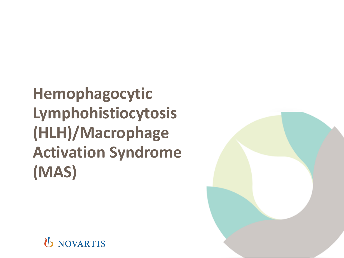**Hemophagocytic Lymphohistiocytosis (HLH)/Macrophage Activation Syndrome (MAS)**



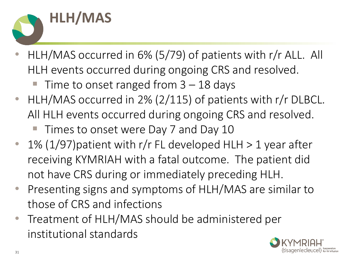

- HLH/MAS occurred in 6% (5/79) of patients with r/r ALL. All HLH events occurred during ongoing CRS and resolved.
	- Time to onset ranged from  $3 18$  days
- HLH/MAS occurred in 2% (2/115) of patients with r/r DLBCL. All HLH events occurred during ongoing CRS and resolved.
	- Times to onset were Day 7 and Day 10
- 1% (1/97) patient with r/r FL developed HLH  $>$  1 year after receiving KYMRIAH with a fatal outcome. The patient did not have CRS during or immediately preceding HLH.
- Presenting signs and symptoms of HLH/MAS are similar to those of CRS and infections
- Treatment of HLH/MAS should be administered per institutional standards

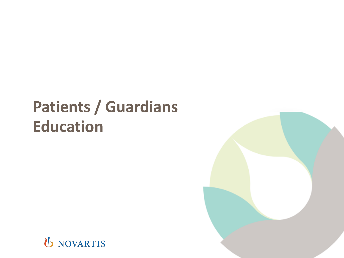### **Patients / Guardians Education**



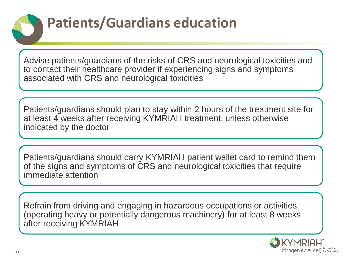### **Patients/Guardians education**

Advise patients/guardians of the risks of CRS and neurological toxicities and to contact their healthcare provider if experiencing signs and symptoms associated with CRS and neurological toxicities

Patients/guardians should plan to stay within 2 hours of the treatment site for at least 4 weeks after receiving KYMRIAH treatment, unless otherwise indicated by the doctor

Patients/guardians should carry KYMRIAH patient wallet card to remind them of the signs and symptoms of CRS and neurological toxicities that require immediate attention

Refrain from driving and engaging in hazardous occupations or activities (operating heavy or potentially dangerous machinery) for at least 8 weeks after receiving KYMRIAH

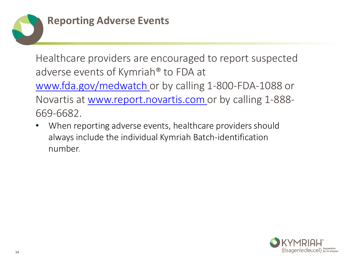

Healthcare providers are encouraged to report suspected adverse events of Kymriah® to FDA at [www.fda.gov/medwatch](http://www.fda.gov/medwatch) or by calling 1-800-FDA-1088 or Novartis at www.report.novartis.com or by calling 1-888- 669-6682.

When reporting adverse events, healthcare providers should always include the individual Kymriah Batch-identification number.

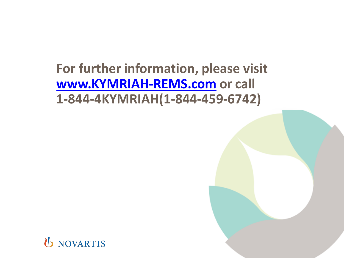### **For further information, please visit [www.KYMRIAH-REMS.com](http://www.KYMRIAH-REMS.com/) or call 1-844-4KYMRIAH(1-844-459-6742)**

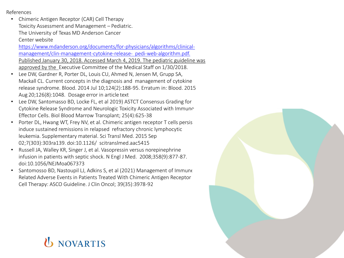References

- Chimeric Antigen Receptor (CAR) Cell Therapy Toxicity Assessment and Management – Pediatric. The University of Texas MD Anderson Cancer Center website https://www.mdanderson.org/documents/for-physicians/algorithms/clinicalmanagement/clin-management-cytokine-release- pedi-web-algorithm.pdf.
- [Published January 30, 2018. Accessed March 4, 2019. The pediatric guideline was](https://www.mdanderson.org/documents/for-physicians/algorithms/clinical-management/clin-management-cytokine-release-pedi-web-algorithm.pdf)  approved by the Executive Committee of the Medical Staff on 1/30/2018.
- Lee DW, Gardner R, Porter DL, Louis CU, Ahmed N, Jensen M, Grupp SA, Mackall CL. Current concepts in the diagnosis and management of cytokine release syndrome. Blood. 2014 Jul 10;124(2):188-95. Erratum in: Blood. 2015 Aug 20;126(8):1048. Dosage error in article text
- Lee DW, Santomasso BD, Locke FL, et al 2019) ASTCT Consensus Grading for Cytokine Release Syndrome and Neurologic Toxicity Associated with Immune Effector Cells. Biol Blood Marrow Transplant; 25(4):625-38
- Porter DL, Hwang WT, Frey NV, et al. Chimeric antigen receptor T cells persis induce sustained remissions in relapsed refractory chronic lymphocytic leukemia. Supplementary material. Sci Transl Med. 2015 Sep 02;7(303):303ra139. doi:10.1126/ scitranslmed.aac5415
- Russell JA, Walley KR, Singer J, et al. Vasopressin versus norepinephrine infusion in patients with septic shock. N Engl J Med. 2008;358(9):877-87. doi:10.1056/NEJMoa067373
- Santomosso BD, Nastoupil LJ, Adkins S, et al (2021) Management of Immune-Related Adverse Events in Patients Treated With Chimeric Antigen Receptor Cell Therapy: ASCO Guideline. J Clin Oncol; 39(35):3978-92

### **D NOVARTIS**